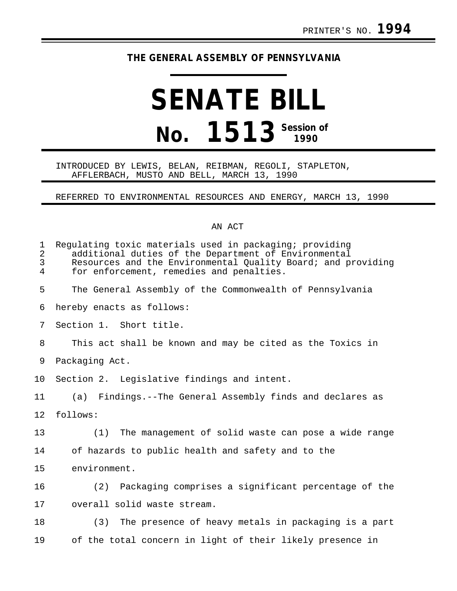## **THE GENERAL ASSEMBLY OF PENNSYLVANIA**

## **SENATE BILL No. 1513 Session of**

## INTRODUCED BY LEWIS, BELAN, REIBMAN, REGOLI, STAPLETON, AFFLERBACH, MUSTO AND BELL, MARCH 13, 1990

REFERRED TO ENVIRONMENTAL RESOURCES AND ENERGY, MARCH 13, 1990

## AN ACT

| $\mathbf 1$<br>2<br>3<br>$\overline{4}$ | Regulating toxic materials used in packaging; providing<br>additional duties of the Department of Environmental<br>Resources and the Environmental Quality Board; and providing<br>for enforcement, remedies and penalties. |
|-----------------------------------------|-----------------------------------------------------------------------------------------------------------------------------------------------------------------------------------------------------------------------------|
| 5                                       | The General Assembly of the Commonwealth of Pennsylvania                                                                                                                                                                    |
| 6                                       | hereby enacts as follows:                                                                                                                                                                                                   |
| 7                                       | Section 1. Short title.                                                                                                                                                                                                     |
| 8                                       | This act shall be known and may be cited as the Toxics in                                                                                                                                                                   |
| 9                                       | Packaging Act.                                                                                                                                                                                                              |
| 10 <sub>o</sub>                         | Section 2. Legislative findings and intent.                                                                                                                                                                                 |
| 11                                      | (a) Findings.--The General Assembly finds and declares as                                                                                                                                                                   |
| 12                                      | follows:                                                                                                                                                                                                                    |
| 13                                      | The management of solid waste can pose a wide range<br>(1)                                                                                                                                                                  |
| 14                                      | of hazards to public health and safety and to the                                                                                                                                                                           |
| 15                                      | environment.                                                                                                                                                                                                                |
| 16                                      | (2) Packaging comprises a significant percentage of the                                                                                                                                                                     |
| 17                                      | overall solid waste stream.                                                                                                                                                                                                 |
| 18                                      | The presence of heavy metals in packaging is a part<br>(3)                                                                                                                                                                  |
| 19                                      | of the total concern in light of their likely presence in                                                                                                                                                                   |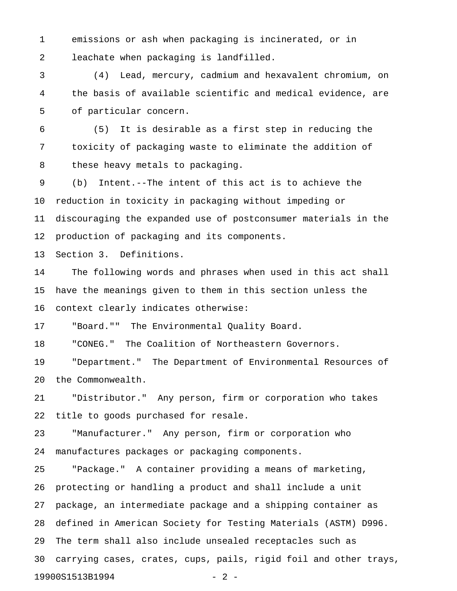1 emissions or ash when packaging is incinerated, or in 2 leachate when packaging is landfilled.

3 (4) Lead, mercury, cadmium and hexavalent chromium, on 4 the basis of available scientific and medical evidence, are 5 of particular concern.

6 (5) It is desirable as a first step in reducing the 7 toxicity of packaging waste to eliminate the addition of 8 these heavy metals to packaging.

9 (b) Intent.--The intent of this act is to achieve the 10 reduction in toxicity in packaging without impeding or 11 discouraging the expanded use of postconsumer materials in the 12 production of packaging and its components.

13 Section 3. Definitions.

14 The following words and phrases when used in this act shall 15 have the meanings given to them in this section unless the 16 context clearly indicates otherwise:

17 "Board."" The Environmental Quality Board.

18 "CONEG." The Coalition of Northeastern Governors.

19 "Department." The Department of Environmental Resources of 20 the Commonwealth.

21 "Distributor." Any person, firm or corporation who takes 22 title to goods purchased for resale.

23 "Manufacturer." Any person, firm or corporation who 24 manufactures packages or packaging components.

25 "Package." A container providing a means of marketing, 26 protecting or handling a product and shall include a unit 27 package, an intermediate package and a shipping container as 28 defined in American Society for Testing Materials (ASTM) D996. 29 The term shall also include unsealed receptacles such as 30 carrying cases, crates, cups, pails, rigid foil and other trays, 19900S1513B1994 - 2 -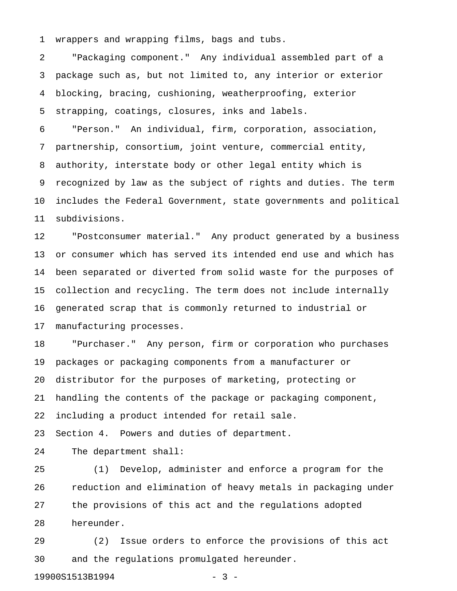1 wrappers and wrapping films, bags and tubs.

2 "Packaging component." Any individual assembled part of a 3 package such as, but not limited to, any interior or exterior 4 blocking, bracing, cushioning, weatherproofing, exterior 5 strapping, coatings, closures, inks and labels.

6 "Person." An individual, firm, corporation, association, 7 partnership, consortium, joint venture, commercial entity, 8 authority, interstate body or other legal entity which is 9 recognized by law as the subject of rights and duties. The term 10 includes the Federal Government, state governments and political 11 subdivisions.

12 "Postconsumer material." Any product generated by a business 13 or consumer which has served its intended end use and which has 14 been separated or diverted from solid waste for the purposes of 15 collection and recycling. The term does not include internally 16 generated scrap that is commonly returned to industrial or 17 manufacturing processes.

18 "Purchaser." Any person, firm or corporation who purchases 19 packages or packaging components from a manufacturer or 20 distributor for the purposes of marketing, protecting or 21 handling the contents of the package or packaging component, 22 including a product intended for retail sale.

23 Section 4. Powers and duties of department.

24 The department shall:

25 (1) Develop, administer and enforce a program for the 26 reduction and elimination of heavy metals in packaging under 27 the provisions of this act and the regulations adopted 28 hereunder.

29 (2) Issue orders to enforce the provisions of this act 30 and the regulations promulgated hereunder.

19900S1513B1994 - 3 -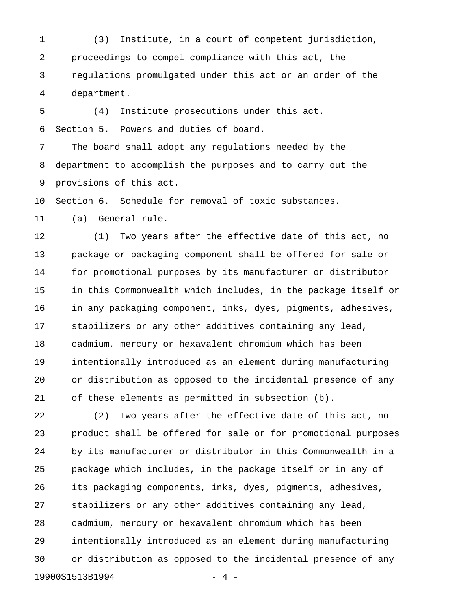1 (3) Institute, in a court of competent jurisdiction, 2 proceedings to compel compliance with this act, the 3 regulations promulgated under this act or an order of the 4 department.

5 (4) Institute prosecutions under this act. 6 Section 5. Powers and duties of board.

7 The board shall adopt any regulations needed by the 8 department to accomplish the purposes and to carry out the 9 provisions of this act.

10 Section 6. Schedule for removal of toxic substances.

11 (a) General rule.--

12 (1) Two years after the effective date of this act, no 13 package or packaging component shall be offered for sale or 14 for promotional purposes by its manufacturer or distributor 15 in this Commonwealth which includes, in the package itself or 16 in any packaging component, inks, dyes, pigments, adhesives, 17 stabilizers or any other additives containing any lead, 18 cadmium, mercury or hexavalent chromium which has been 19 intentionally introduced as an element during manufacturing 20 or distribution as opposed to the incidental presence of any 21 of these elements as permitted in subsection (b).

22 (2) Two years after the effective date of this act, no 23 product shall be offered for sale or for promotional purposes 24 by its manufacturer or distributor in this Commonwealth in a 25 package which includes, in the package itself or in any of 26 its packaging components, inks, dyes, pigments, adhesives, 27 stabilizers or any other additives containing any lead, 28 cadmium, mercury or hexavalent chromium which has been 29 intentionally introduced as an element during manufacturing 30 or distribution as opposed to the incidental presence of any 19900S1513B1994 - 4 -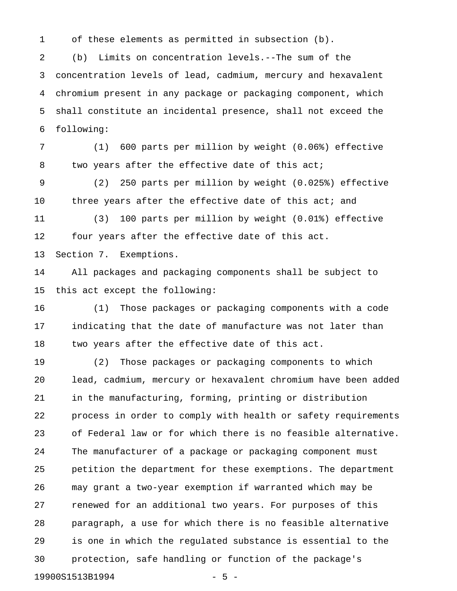1 of these elements as permitted in subsection (b).

2 (b) Limits on concentration levels.--The sum of the 3 concentration levels of lead, cadmium, mercury and hexavalent 4 chromium present in any package or packaging component, which 5 shall constitute an incidental presence, shall not exceed the 6 following:

7 (1) 600 parts per million by weight (0.06%) effective 8 two years after the effective date of this act;

9 (2) 250 parts per million by weight (0.025%) effective 10 three years after the effective date of this act; and

11 (3) 100 parts per million by weight (0.01%) effective 12 four years after the effective date of this act.

13 Section 7. Exemptions.

14 All packages and packaging components shall be subject to 15 this act except the following:

16 (1) Those packages or packaging components with a code 17 indicating that the date of manufacture was not later than 18 two years after the effective date of this act.

19 (2) Those packages or packaging components to which 20 lead, cadmium, mercury or hexavalent chromium have been added 21 in the manufacturing, forming, printing or distribution 22 process in order to comply with health or safety requirements 23 of Federal law or for which there is no feasible alternative. 24 The manufacturer of a package or packaging component must 25 petition the department for these exemptions. The department 26 may grant a two-year exemption if warranted which may be 27 renewed for an additional two years. For purposes of this 28 paragraph, a use for which there is no feasible alternative 29 is one in which the regulated substance is essential to the 30 protection, safe handling or function of the package's 19900S1513B1994 - 5 -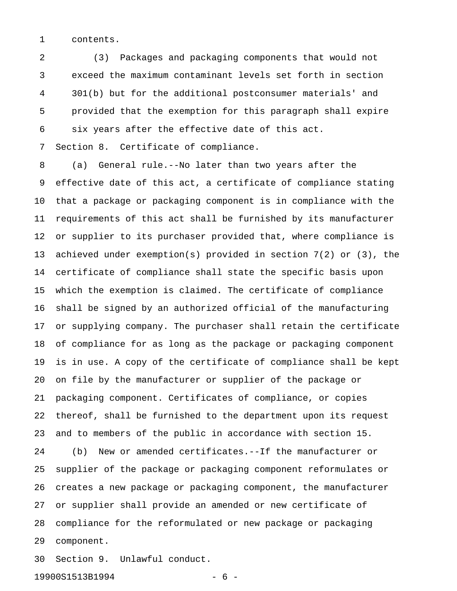1 contents.

2 (3) Packages and packaging components that would not 3 exceed the maximum contaminant levels set forth in section 4 301(b) but for the additional postconsumer materials' and 5 provided that the exemption for this paragraph shall expire 6 six years after the effective date of this act.

7 Section 8. Certificate of compliance.

8 (a) General rule.--No later than two years after the 9 effective date of this act, a certificate of compliance stating 10 that a package or packaging component is in compliance with the 11 requirements of this act shall be furnished by its manufacturer 12 or supplier to its purchaser provided that, where compliance is 13 achieved under exemption(s) provided in section 7(2) or (3), the 14 certificate of compliance shall state the specific basis upon 15 which the exemption is claimed. The certificate of compliance 16 shall be signed by an authorized official of the manufacturing 17 or supplying company. The purchaser shall retain the certificate 18 of compliance for as long as the package or packaging component 19 is in use. A copy of the certificate of compliance shall be kept 20 on file by the manufacturer or supplier of the package or 21 packaging component. Certificates of compliance, or copies 22 thereof, shall be furnished to the department upon its request 23 and to members of the public in accordance with section 15. 24 (b) New or amended certificates.--If the manufacturer or 25 supplier of the package or packaging component reformulates or 26 creates a new package or packaging component, the manufacturer 27 or supplier shall provide an amended or new certificate of 28 compliance for the reformulated or new package or packaging 29 component.

30 Section 9. Unlawful conduct.

19900S1513B1994 - 6 -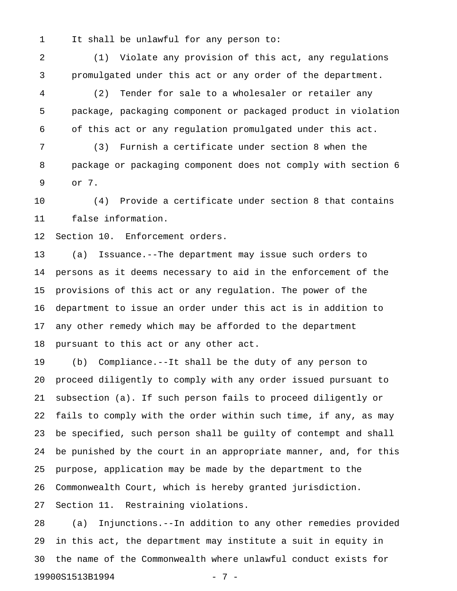1 It shall be unlawful for any person to:

2 (1) Violate any provision of this act, any regulations 3 promulgated under this act or any order of the department.

4 (2) Tender for sale to a wholesaler or retailer any 5 package, packaging component or packaged product in violation 6 of this act or any regulation promulgated under this act.

7 (3) Furnish a certificate under section 8 when the 8 package or packaging component does not comply with section 6 9 or 7.

10 (4) Provide a certificate under section 8 that contains 11 false information.

12 Section 10. Enforcement orders.

13 (a) Issuance.--The department may issue such orders to 14 persons as it deems necessary to aid in the enforcement of the 15 provisions of this act or any regulation. The power of the 16 department to issue an order under this act is in addition to 17 any other remedy which may be afforded to the department 18 pursuant to this act or any other act.

19 (b) Compliance.--It shall be the duty of any person to 20 proceed diligently to comply with any order issued pursuant to 21 subsection (a). If such person fails to proceed diligently or 22 fails to comply with the order within such time, if any, as may 23 be specified, such person shall be guilty of contempt and shall 24 be punished by the court in an appropriate manner, and, for this 25 purpose, application may be made by the department to the 26 Commonwealth Court, which is hereby granted jurisdiction. 27 Section 11. Restraining violations.

28 (a) Injunctions.--In addition to any other remedies provided 29 in this act, the department may institute a suit in equity in 30 the name of the Commonwealth where unlawful conduct exists for 19900S1513B1994 - 7 -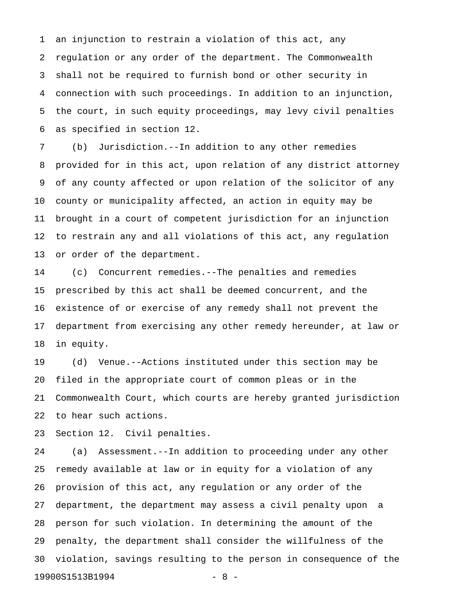1 an injunction to restrain a violation of this act, any 2 regulation or any order of the department. The Commonwealth 3 shall not be required to furnish bond or other security in 4 connection with such proceedings. In addition to an injunction, 5 the court, in such equity proceedings, may levy civil penalties 6 as specified in section 12.

7 (b) Jurisdiction.--In addition to any other remedies 8 provided for in this act, upon relation of any district attorney 9 of any county affected or upon relation of the solicitor of any 10 county or municipality affected, an action in equity may be 11 brought in a court of competent jurisdiction for an injunction 12 to restrain any and all violations of this act, any regulation 13 or order of the department.

14 (c) Concurrent remedies.--The penalties and remedies 15 prescribed by this act shall be deemed concurrent, and the 16 existence of or exercise of any remedy shall not prevent the 17 department from exercising any other remedy hereunder, at law or 18 in equity.

19 (d) Venue.--Actions instituted under this section may be 20 filed in the appropriate court of common pleas or in the 21 Commonwealth Court, which courts are hereby granted jurisdiction 22 to hear such actions.

23 Section 12. Civil penalties.

24 (a) Assessment.--In addition to proceeding under any other 25 remedy available at law or in equity for a violation of any 26 provision of this act, any regulation or any order of the 27 department, the department may assess a civil penalty upon a 28 person for such violation. In determining the amount of the 29 penalty, the department shall consider the willfulness of the 30 violation, savings resulting to the person in consequence of the 19900S1513B1994 - 8 -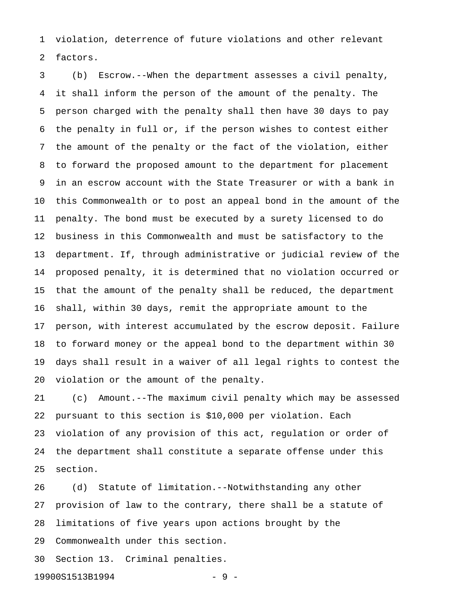1 violation, deterrence of future violations and other relevant 2 factors.

3 (b) Escrow.--When the department assesses a civil penalty, 4 it shall inform the person of the amount of the penalty. The 5 person charged with the penalty shall then have 30 days to pay 6 the penalty in full or, if the person wishes to contest either 7 the amount of the penalty or the fact of the violation, either 8 to forward the proposed amount to the department for placement 9 in an escrow account with the State Treasurer or with a bank in 10 this Commonwealth or to post an appeal bond in the amount of the 11 penalty. The bond must be executed by a surety licensed to do 12 business in this Commonwealth and must be satisfactory to the 13 department. If, through administrative or judicial review of the 14 proposed penalty, it is determined that no violation occurred or 15 that the amount of the penalty shall be reduced, the department 16 shall, within 30 days, remit the appropriate amount to the 17 person, with interest accumulated by the escrow deposit. Failure 18 to forward money or the appeal bond to the department within 30 19 days shall result in a waiver of all legal rights to contest the 20 violation or the amount of the penalty.

21 (c) Amount.--The maximum civil penalty which may be assessed 22 pursuant to this section is \$10,000 per violation. Each 23 violation of any provision of this act, regulation or order of 24 the department shall constitute a separate offense under this 25 section.

26 (d) Statute of limitation.--Notwithstanding any other 27 provision of law to the contrary, there shall be a statute of 28 limitations of five years upon actions brought by the 29 Commonwealth under this section.

30 Section 13. Criminal penalties.

19900S1513B1994 - 9 -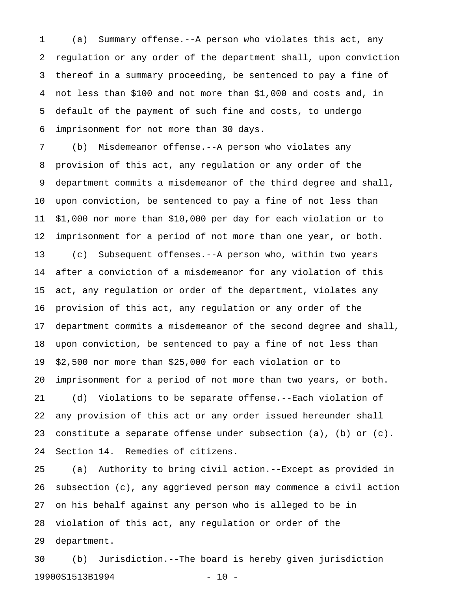1 (a) Summary offense.--A person who violates this act, any 2 regulation or any order of the department shall, upon conviction 3 thereof in a summary proceeding, be sentenced to pay a fine of 4 not less than \$100 and not more than \$1,000 and costs and, in 5 default of the payment of such fine and costs, to undergo 6 imprisonment for not more than 30 days.

7 (b) Misdemeanor offense.--A person who violates any 8 provision of this act, any regulation or any order of the 9 department commits a misdemeanor of the third degree and shall, 10 upon conviction, be sentenced to pay a fine of not less than 11 \$1,000 nor more than \$10,000 per day for each violation or to 12 imprisonment for a period of not more than one year, or both. 13 (c) Subsequent offenses.--A person who, within two years 14 after a conviction of a misdemeanor for any violation of this 15 act, any regulation or order of the department, violates any 16 provision of this act, any regulation or any order of the 17 department commits a misdemeanor of the second degree and shall, 18 upon conviction, be sentenced to pay a fine of not less than 19 \$2,500 nor more than \$25,000 for each violation or to 20 imprisonment for a period of not more than two years, or both. 21 (d) Violations to be separate offense.--Each violation of 22 any provision of this act or any order issued hereunder shall 23 constitute a separate offense under subsection (a), (b) or (c). 24 Section 14. Remedies of citizens.

25 (a) Authority to bring civil action.--Except as provided in 26 subsection (c), any aggrieved person may commence a civil action 27 on his behalf against any person who is alleged to be in 28 violation of this act, any regulation or order of the 29 department.

30 (b) Jurisdiction.--The board is hereby given jurisdiction 19900S1513B1994 - 10 -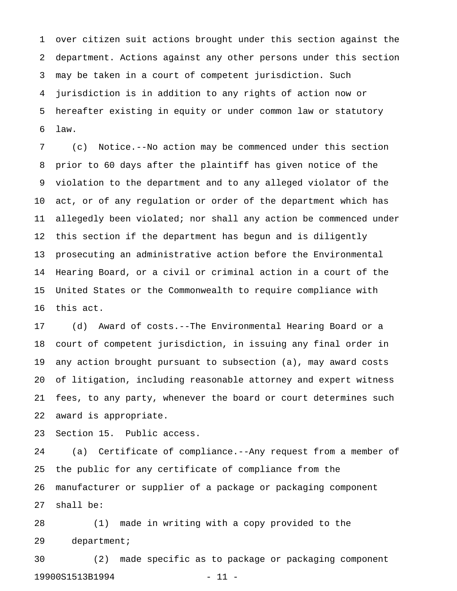1 over citizen suit actions brought under this section against the 2 department. Actions against any other persons under this section 3 may be taken in a court of competent jurisdiction. Such 4 jurisdiction is in addition to any rights of action now or 5 hereafter existing in equity or under common law or statutory 6 law.

7 (c) Notice.--No action may be commenced under this section 8 prior to 60 days after the plaintiff has given notice of the 9 violation to the department and to any alleged violator of the 10 act, or of any regulation or order of the department which has 11 allegedly been violated; nor shall any action be commenced under 12 this section if the department has begun and is diligently 13 prosecuting an administrative action before the Environmental 14 Hearing Board, or a civil or criminal action in a court of the 15 United States or the Commonwealth to require compliance with 16 this act.

17 (d) Award of costs.--The Environmental Hearing Board or a 18 court of competent jurisdiction, in issuing any final order in 19 any action brought pursuant to subsection (a), may award costs 20 of litigation, including reasonable attorney and expert witness 21 fees, to any party, whenever the board or court determines such 22 award is appropriate.

23 Section 15. Public access.

24 (a) Certificate of compliance.--Any request from a member of 25 the public for any certificate of compliance from the 26 manufacturer or supplier of a package or packaging component 27 shall be:

28 (1) made in writing with a copy provided to the 29 department;

30 (2) made specific as to package or packaging component 19900S1513B1994 - 11 -